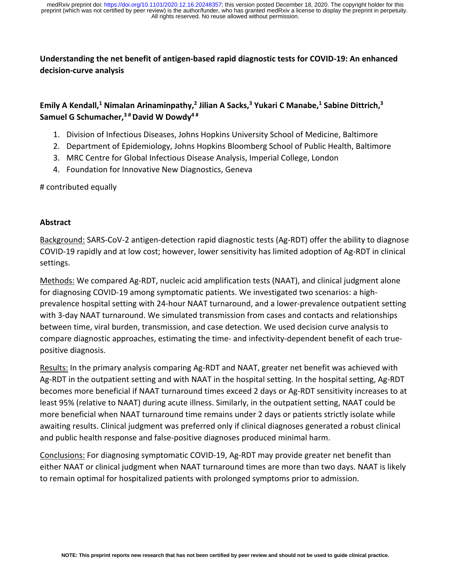**Understanding the net benefit of antigen-based rapid diagnostic tests for COVID-19: An enhanced decision-curve analysis**

# **Emily A Kendall,1 Nimalan Arinaminpathy,2 Jilian A Sacks,3 Yukari C Manabe,1 Sabine Dittrich,3 Samuel G Schumacher, <sup>3</sup> #David W Dowdy4 #**

- 1. Division of Infectious Diseases, Johns Hopkins University School of Medicine, Baltimore
- 2. Department of Epidemiology, Johns Hopkins Bloomberg School of Public Health, Baltimore
- 3. MRC Centre for Global Infectious Disease Analysis, Imperial College, London
- 4. Foundation for Innovative New Diagnostics, Geneva

# contributed equally

#### **Abstract**

Background: SARS-CoV-2 antigen-detection rapid diagnostic tests (Ag-RDT) offer the ability to diagnose COVID-19 rapidly and at low cost; however, lower sensitivity has limited adoption of Ag-RDT in clinical settings.

Methods: We compared Ag-RDT, nucleic acid amplification tests (NAAT), and clinical judgment alone for diagnosing COVID-19 among symptomatic patients. We investigated two scenarios: a highprevalence hospital setting with 24-hour NAAT turnaround, and a lower-prevalence outpatient setting with 3-day NAAT turnaround. We simulated transmission from cases and contacts and relationships between time, viral burden, transmission, and case detection. We used decision curve analysis to compare diagnostic approaches, estimating the time- and infectivity-dependent benefit of each truepositive diagnosis.

Results: In the primary analysis comparing Ag-RDT and NAAT, greater net benefit was achieved with Ag-RDT in the outpatient setting and with NAAT in the hospital setting. In the hospital setting, Ag-RDT becomes more beneficial if NAAT turnaround times exceed 2 days or Ag-RDT sensitivity increases to at least 95% (relative to NAAT) during acute illness. Similarly, in the outpatient setting, NAAT could be more beneficial when NAAT turnaround time remains under 2 days or patients strictly isolate while awaiting results. Clinical judgment was preferred only if clinical diagnoses generated a robust clinical and public health response and false-positive diagnoses produced minimal harm.

Conclusions: For diagnosing symptomatic COVID-19, Ag-RDT may provide greater net benefit than either NAAT or clinical judgment when NAAT turnaround times are more than two days. NAAT is likely to remain optimal for hospitalized patients with prolonged symptoms prior to admission.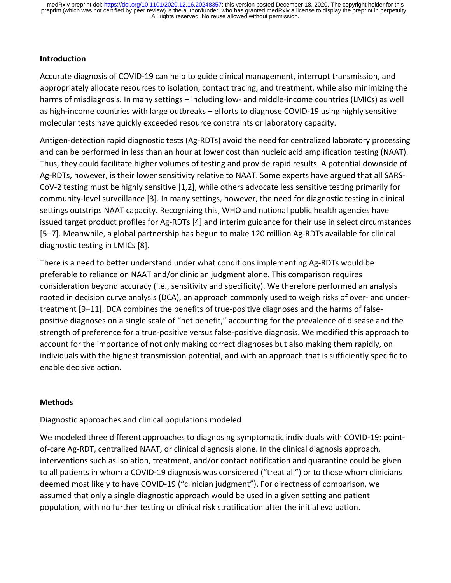### **Introduction**

Accurate diagnosis of COVID-19 can help to guide clinical management, interrupt transmission, and appropriately allocate resources to isolation, contact tracing, and treatment, while also minimizing the harms of misdiagnosis. In many settings – including low- and middle-income countries (LMICs) as well as high-income countries with large outbreaks – efforts to diagnose COVID-19 using highly sensitive molecular tests have quickly exceeded resource constraints or laboratory capacity.

Antigen-detection rapid diagnostic tests (Ag-RDTs) avoid the need for centralized laboratory processing and can be performed in less than an hour at lower cost than nucleic acid amplification testing (NAAT). Thus, they could facilitate higher volumes of testing and provide rapid results. A potential downside of Ag-RDTs, however, is their lower sensitivity relative to NAAT. Some experts have argued that all SARS-CoV-2 testing must be highly sensitive [1,2], while others advocate less sensitive testing primarily for community-level surveillance [3]. In many settings, however, the need for diagnostic testing in clinical settings outstrips NAAT capacity. Recognizing this, WHO and national public health agencies have issued target product profiles for Ag-RDTs [4] and interim guidance for their use in select circumstances [5–7]. Meanwhile, a global partnership has begun to make 120 million Ag-RDTs available for clinical diagnostic testing in LMICs [8].

There is a need to better understand under what conditions implementing Ag-RDTs would be preferable to reliance on NAAT and/or clinician judgment alone. This comparison requires consideration beyond accuracy (i.e., sensitivity and specificity). We therefore performed an analysis rooted in decision curve analysis (DCA), an approach commonly used to weigh risks of over- and undertreatment [9–11]. DCA combines the benefits of true-positive diagnoses and the harms of falsepositive diagnoses on a single scale of "net benefit," accounting for the prevalence of disease and the strength of preference for a true-positive versus false-positive diagnosis. We modified this approach to account for the importance of not only making correct diagnoses but also making them rapidly, on individuals with the highest transmission potential, and with an approach that is sufficiently specific to enable decisive action.

#### **Methods**

#### Diagnostic approaches and clinical populations modeled

We modeled three different approaches to diagnosing symptomatic individuals with COVID-19: pointof-care Ag-RDT, centralized NAAT, or clinical diagnosis alone. In the clinical diagnosis approach, interventions such as isolation, treatment, and/or contact notification and quarantine could be given to all patients in whom a COVID-19 diagnosis was considered ("treat all") or to those whom clinicians deemed most likely to have COVID-19 ("clinician judgment"). For directness of comparison, we assumed that only a single diagnostic approach would be used in a given setting and patient population, with no further testing or clinical risk stratification after the initial evaluation.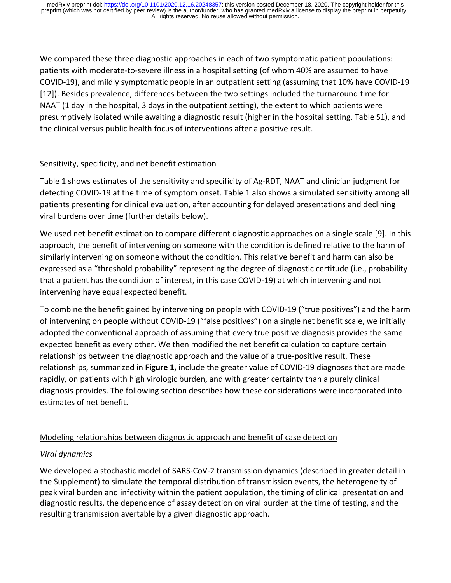We compared these three diagnostic approaches in each of two symptomatic patient populations: patients with moderate-to-severe illness in a hospital setting (of whom 40% are assumed to have COVID-19), and mildly symptomatic people in an outpatient setting (assuming that 10% have COVID-19 [12]). Besides prevalence, differences between the two settings included the turnaround time for NAAT (1 day in the hospital, 3 days in the outpatient setting), the extent to which patients were presumptively isolated while awaiting a diagnostic result (higher in the hospital setting, Table S1), and the clinical versus public health focus of interventions after a positive result.

## Sensitivity, specificity, and net benefit estimation

Table 1 shows estimates of the sensitivity and specificity of Ag-RDT, NAAT and clinician judgment for detecting COVID-19 at the time of symptom onset. Table 1 also shows a simulated sensitivity among all patients presenting for clinical evaluation, after accounting for delayed presentations and declining viral burdens over time (further details below).

We used net benefit estimation to compare different diagnostic approaches on a single scale [9]. In this approach, the benefit of intervening on someone with the condition is defined relative to the harm of similarly intervening on someone without the condition. This relative benefit and harm can also be expressed as a "threshold probability" representing the degree of diagnostic certitude (i.e., probability that a patient has the condition of interest, in this case COVID-19) at which intervening and not intervening have equal expected benefit.

To combine the benefit gained by intervening on people with COVID-19 ("true positives") and the harm of intervening on people without COVID-19 ("false positives") on a single net benefit scale, we initially adopted the conventional approach of assuming that every true positive diagnosis provides the same expected benefit as every other. We then modified the net benefit calculation to capture certain relationships between the diagnostic approach and the value of a true-positive result. These relationships, summarized in **Figure 1,** include the greater value of COVID-19 diagnoses that are made rapidly, on patients with high virologic burden, and with greater certainty than a purely clinical diagnosis provides. The following section describes how these considerations were incorporated into estimates of net benefit.

# Modeling relationships between diagnostic approach and benefit of case detection

# *Viral dynamics*

We developed a stochastic model of SARS-CoV-2 transmission dynamics (described in greater detail in the Supplement) to simulate the temporal distribution of transmission events, the heterogeneity of peak viral burden and infectivity within the patient population, the timing of clinical presentation and diagnostic results, the dependence of assay detection on viral burden at the time of testing, and the resulting transmission avertable by a given diagnostic approach.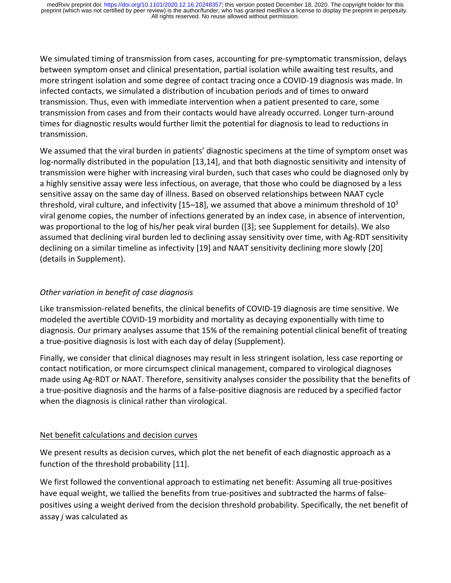We simulated timing of transmission from cases, accounting for pre-symptomatic transmission, delays between symptom onset and clinical presentation, partial isolation while awaiting test results, and more stringent isolation and some degree of contact tracing once a COVID-19 diagnosis was made. In infected contacts, we simulated a distribution of incubation periods and of times to onward transmission. Thus, even with immediate intervention when a patient presented to care, some transmission from cases and from their contacts would have already occurred. Longer turn-around times for diagnostic results would further limit the potential for diagnosis to lead to reductions in transmission.

We assumed that the viral burden in patients' diagnostic specimens at the time of symptom onset was log-normally distributed in the population [13,14], and that both diagnostic sensitivity and intensity of transmission were higher with increasing viral burden, such that cases who could be diagnosed only by a highly sensitive assay were less infectious, on average, that those who could be diagnosed by a less sensitive assay on the same day of illness. Based on observed relationships between NAAT cycle threshold, viral culture, and infectivity  $[15–18]$ , we assumed that above a minimum threshold of  $10^3$ viral genome copies, the number of infections generated by an index case, in absence of intervention, was proportional to the log of his/her peak viral burden ([3]; see Supplement for details). We also assumed that declining viral burden led to declining assay sensitivity over time, with Ag-RDT sensitivity declining on a similar timeline as infectivity [19] and NAAT sensitivity declining more slowly [20] (details in Supplement).

# *Other variation in benefit of case diagnosis*

Like transmission-related benefits, the clinical benefits of COVID-19 diagnosis are time sensitive. We modeled the avertible COVID-19 morbidity and mortality as decaying exponentially with time to diagnosis. Our primary analyses assume that 15% of the remaining potential clinical benefit of treating a true-positive diagnosis is lost with each day of delay (Supplement).

Finally, we consider that clinical diagnoses may result in less stringent isolation, less case reporting or contact notification, or more circumspect clinical management, compared to virological diagnoses made using Ag-RDT or NAAT. Therefore, sensitivity analyses consider the possibility that the benefits of a true-positive diagnosis and the harms of a false-positive diagnosis are reduced by a specified factor when the diagnosis is clinical rather than virological.

### Net benefit calculations and decision curves

We present results as decision curves, which plot the net benefit of each diagnostic approach as a function of the threshold probability [11].

We first followed the conventional approach to estimating net benefit: Assuming all true-positives have equal weight, we tallied the benefits from true-positives and subtracted the harms of falsepositives using a weight derived from the decision threshold probability. Specifically, the net benefit of assay *j* was calculated as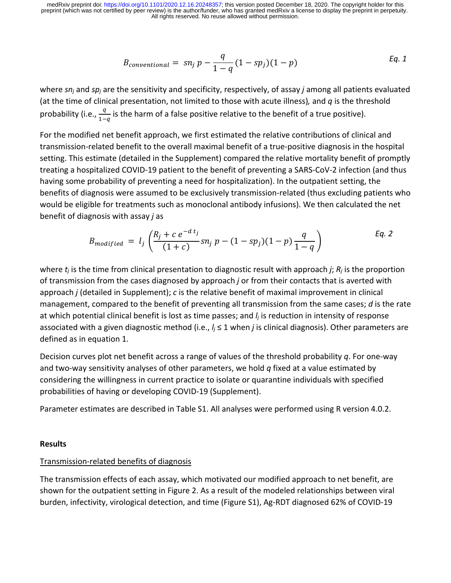$$
B_{conventional} = sn_j p - \frac{q}{1-q}(1 - sp_j)(1 - p)
$$
 Eq. 1

where *snj* and *spj* are the sensitivity and specificity, respectively, of assay *j* among all patients evaluated (at the time of clinical presentation, not limited to those with acute illness)*,* and *q* is the threshold probability (i.e.,  $\frac{q}{1-q}$  is the harm of a false positive relative to the benefit of a true positive).

For the modified net benefit approach, we first estimated the relative contributions of clinical and transmission-related benefit to the overall maximal benefit of a true-positive diagnosis in the hospital setting. This estimate (detailed in the Supplement) compared the relative mortality benefit of promptly treating a hospitalized COVID-19 patient to the benefit of preventing a SARS-CoV-2 infection (and thus having some probability of preventing a need for hospitalization). In the outpatient setting, the benefits of diagnosis were assumed to be exclusively transmission-related (thus excluding patients who would be eligible for treatments such as monoclonal antibody infusions). We then calculated the net benefit of diagnosis with assay *j* as

$$
B_{modified} = l_j \left( \frac{R_j + c e^{-d t_j}}{(1 + c)} s n_j p - (1 - s p_j)(1 - p) \frac{q}{1 - q} \right)
$$
 Eq. 2

where *tj* is the time from clinical presentation to diagnostic result with approach *j*; *Rj* is the proportion of transmission from the cases diagnosed by approach *j* or from their contacts that is averted with approach *j* (detailed in Supplement); *c* is the relative benefit of maximal improvement in clinical management, compared to the benefit of preventing all transmission from the same cases; *d* is the rate at which potential clinical benefit is lost as time passes; and *lj* is reduction in intensity of response associated with a given diagnostic method (i.e., *lj* ≤ 1 when *j* is clinical diagnosis). Other parameters are defined as in equation 1.

Decision curves plot net benefit across a range of values of the threshold probability *q*. For one-way and two-way sensitivity analyses of other parameters, we hold *q* fixed at a value estimated by considering the willingness in current practice to isolate or quarantine individuals with specified probabilities of having or developing COVID-19 (Supplement).

Parameter estimates are described in Table S1. All analyses were performed using R version 4.0.2.

#### **Results**

### Transmission-related benefits of diagnosis

The transmission effects of each assay, which motivated our modified approach to net benefit, are shown for the outpatient setting in Figure 2. As a result of the modeled relationships between viral burden, infectivity, virological detection, and time (Figure S1), Ag-RDT diagnosed 62% of COVID-19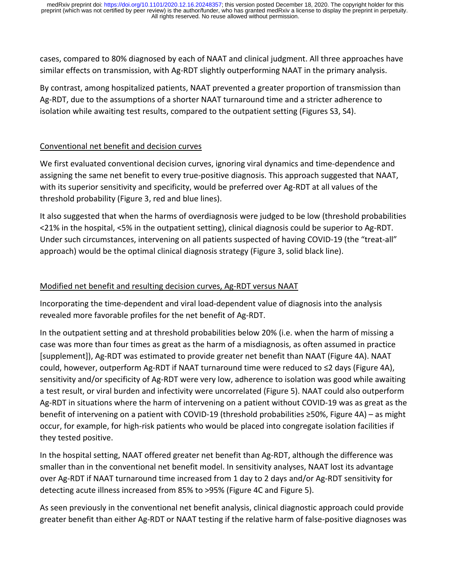cases, compared to 80% diagnosed by each of NAAT and clinical judgment. All three approaches have similar effects on transmission, with Ag-RDT slightly outperforming NAAT in the primary analysis.

By contrast, among hospitalized patients, NAAT prevented a greater proportion of transmission than Ag-RDT, due to the assumptions of a shorter NAAT turnaround time and a stricter adherence to isolation while awaiting test results, compared to the outpatient setting (Figures S3, S4).

## Conventional net benefit and decision curves

We first evaluated conventional decision curves, ignoring viral dynamics and time-dependence and assigning the same net benefit to every true-positive diagnosis. This approach suggested that NAAT, with its superior sensitivity and specificity, would be preferred over Ag-RDT at all values of the threshold probability (Figure 3, red and blue lines).

It also suggested that when the harms of overdiagnosis were judged to be low (threshold probabilities <21% in the hospital, <5% in the outpatient setting), clinical diagnosis could be superior to Ag-RDT. Under such circumstances, intervening on all patients suspected of having COVID-19 (the "treat-all" approach) would be the optimal clinical diagnosis strategy (Figure 3, solid black line).

## Modified net benefit and resulting decision curves, Ag-RDT versus NAAT

Incorporating the time-dependent and viral load-dependent value of diagnosis into the analysis revealed more favorable profiles for the net benefit of Ag-RDT.

In the outpatient setting and at threshold probabilities below 20% (i.e. when the harm of missing a case was more than four times as great as the harm of a misdiagnosis, as often assumed in practice [supplement]), Ag-RDT was estimated to provide greater net benefit than NAAT (Figure 4A). NAAT could, however, outperform Ag-RDT if NAAT turnaround time were reduced to ≤2 days (Figure 4A), sensitivity and/or specificity of Ag-RDT were very low, adherence to isolation was good while awaiting a test result, or viral burden and infectivity were uncorrelated (Figure 5). NAAT could also outperform Ag-RDT in situations where the harm of intervening on a patient without COVID-19 was as great as the benefit of intervening on a patient with COVID-19 (threshold probabilities ≥50%, Figure 4A) – as might occur, for example, for high-risk patients who would be placed into congregate isolation facilities if they tested positive.

In the hospital setting, NAAT offered greater net benefit than Ag-RDT, although the difference was smaller than in the conventional net benefit model. In sensitivity analyses, NAAT lost its advantage over Ag-RDT if NAAT turnaround time increased from 1 day to 2 days and/or Ag-RDT sensitivity for detecting acute illness increased from 85% to >95% (Figure 4C and Figure 5).

As seen previously in the conventional net benefit analysis, clinical diagnostic approach could provide greater benefit than either Ag-RDT or NAAT testing if the relative harm of false-positive diagnoses was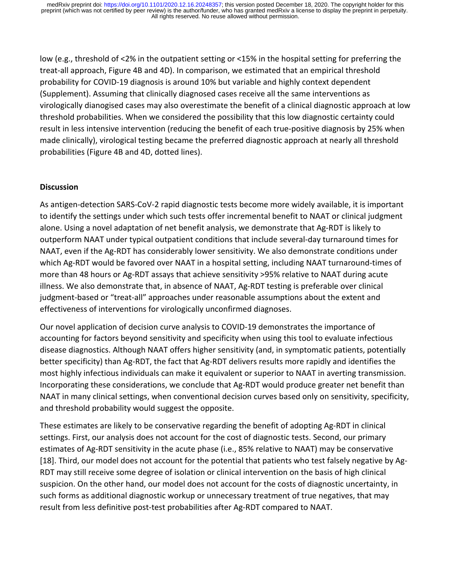low (e.g., threshold of <2% in the outpatient setting or <15% in the hospital setting for preferring the treat-all approach, Figure 4B and 4D). In comparison, we estimated that an empirical threshold probability for COVID-19 diagnosis is around 10% but variable and highly context dependent (Supplement). Assuming that clinically diagnosed cases receive all the same interventions as virologically dianogised cases may also overestimate the benefit of a clinical diagnostic approach at low threshold probabilities. When we considered the possibility that this low diagnostic certainty could result in less intensive intervention (reducing the benefit of each true-positive diagnosis by 25% when made clinically), virological testing became the preferred diagnostic approach at nearly all threshold probabilities (Figure 4B and 4D, dotted lines).

### **Discussion**

As antigen-detection SARS-CoV-2 rapid diagnostic tests become more widely available, it is important to identify the settings under which such tests offer incremental benefit to NAAT or clinical judgment alone. Using a novel adaptation of net benefit analysis, we demonstrate that Ag-RDT is likely to outperform NAAT under typical outpatient conditions that include several-day turnaround times for NAAT, even if the Ag-RDT has considerably lower sensitivity. We also demonstrate conditions under which Ag-RDT would be favored over NAAT in a hospital setting, including NAAT turnaround-times of more than 48 hours or Ag-RDT assays that achieve sensitivity >95% relative to NAAT during acute illness. We also demonstrate that, in absence of NAAT, Ag-RDT testing is preferable over clinical judgment-based or "treat-all" approaches under reasonable assumptions about the extent and effectiveness of interventions for virologically unconfirmed diagnoses.

Our novel application of decision curve analysis to COVID-19 demonstrates the importance of accounting for factors beyond sensitivity and specificity when using this tool to evaluate infectious disease diagnostics. Although NAAT offers higher sensitivity (and, in symptomatic patients, potentially better specificity) than Ag-RDT, the fact that Ag-RDT delivers results more rapidly and identifies the most highly infectious individuals can make it equivalent or superior to NAAT in averting transmission. Incorporating these considerations, we conclude that Ag-RDT would produce greater net benefit than NAAT in many clinical settings, when conventional decision curves based only on sensitivity, specificity, and threshold probability would suggest the opposite.

These estimates are likely to be conservative regarding the benefit of adopting Ag-RDT in clinical settings. First, our analysis does not account for the cost of diagnostic tests. Second, our primary estimates of Ag-RDT sensitivity in the acute phase (i.e., 85% relative to NAAT) may be conservative [18]. Third, our model does not account for the potential that patients who test falsely negative by Ag-RDT may still receive some degree of isolation or clinical intervention on the basis of high clinical suspicion. On the other hand, our model does not account for the costs of diagnostic uncertainty, in such forms as additional diagnostic workup or unnecessary treatment of true negatives, that may result from less definitive post-test probabilities after Ag-RDT compared to NAAT.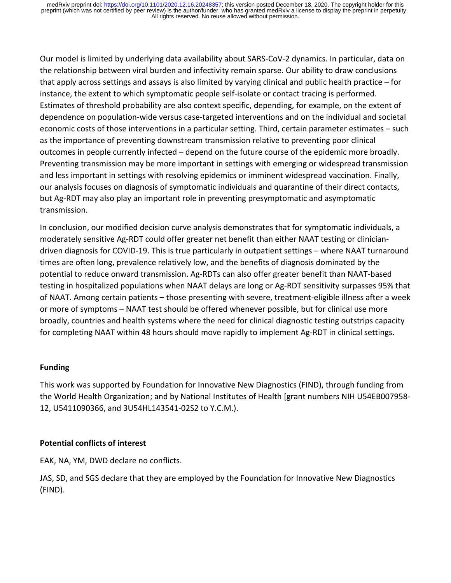Our model is limited by underlying data availability about SARS-CoV-2 dynamics. In particular, data on the relationship between viral burden and infectivity remain sparse. Our ability to draw conclusions that apply across settings and assays is also limited by varying clinical and public health practice – for instance, the extent to which symptomatic people self-isolate or contact tracing is performed. Estimates of threshold probability are also context specific, depending, for example, on the extent of dependence on population-wide versus case-targeted interventions and on the individual and societal economic costs of those interventions in a particular setting. Third, certain parameter estimates – such as the importance of preventing downstream transmission relative to preventing poor clinical outcomes in people currently infected – depend on the future course of the epidemic more broadly. Preventing transmission may be more important in settings with emerging or widespread transmission and less important in settings with resolving epidemics or imminent widespread vaccination. Finally, our analysis focuses on diagnosis of symptomatic individuals and quarantine of their direct contacts, but Ag-RDT may also play an important role in preventing presymptomatic and asymptomatic transmission.

In conclusion, our modified decision curve analysis demonstrates that for symptomatic individuals, a moderately sensitive Ag-RDT could offer greater net benefit than either NAAT testing or cliniciandriven diagnosis for COVID-19. This is true particularly in outpatient settings – where NAAT turnaround times are often long, prevalence relatively low, and the benefits of diagnosis dominated by the potential to reduce onward transmission. Ag-RDTs can also offer greater benefit than NAAT-based testing in hospitalized populations when NAAT delays are long or Ag-RDT sensitivity surpasses 95% that of NAAT. Among certain patients – those presenting with severe, treatment-eligible illness after a week or more of symptoms – NAAT test should be offered whenever possible, but for clinical use more broadly, countries and health systems where the need for clinical diagnostic testing outstrips capacity for completing NAAT within 48 hours should move rapidly to implement Ag-RDT in clinical settings.

#### **Funding**

This work was supported by Foundation for Innovative New Diagnostics (FIND), through funding from the World Health Organization; and by National Institutes of Health [grant numbers NIH U54EB007958- 12, U5411090366, and 3U54HL143541-02S2 to Y.C.M.).

#### **Potential conflicts of interest**

EAK, NA, YM, DWD declare no conflicts.

JAS, SD, and SGS declare that they are employed by the Foundation for Innovative New Diagnostics (FIND).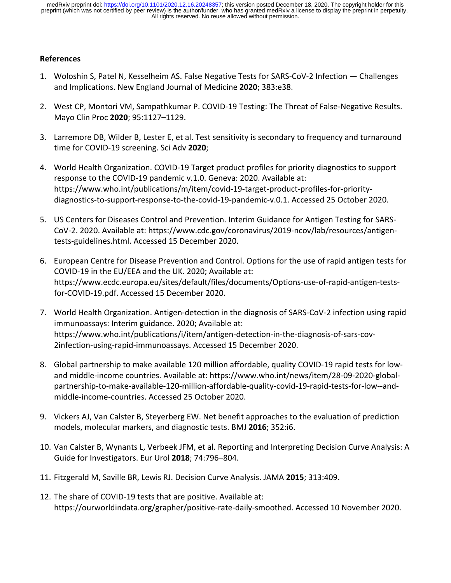### **References**

- 1. Woloshin S, Patel N, Kesselheim AS. False Negative Tests for SARS-CoV-2 Infection Challenges and Implications. New England Journal of Medicine **2020**; 383:e38.
- 2. West CP, Montori VM, Sampathkumar P. COVID-19 Testing: The Threat of False-Negative Results. Mayo Clin Proc **2020**; 95:1127–1129.
- 3. Larremore DB, Wilder B, Lester E, et al. Test sensitivity is secondary to frequency and turnaround time for COVID-19 screening. Sci Adv **2020**;
- 4. World Health Organization. COVID-19 Target product profiles for priority diagnostics to support response to the COVID-19 pandemic v.1.0. Geneva: 2020. Available at: https://www.who.int/publications/m/item/covid-19-target-product-profiles-for-prioritydiagnostics-to-support-response-to-the-covid-19-pandemic-v.0.1. Accessed 25 October 2020.
- 5. US Centers for Diseases Control and Prevention. Interim Guidance for Antigen Testing for SARS-CoV-2. 2020. Available at: https://www.cdc.gov/coronavirus/2019-ncov/lab/resources/antigentests-guidelines.html. Accessed 15 December 2020.
- 6. European Centre for Disease Prevention and Control. Options for the use of rapid antigen tests for COVID-19 in the EU/EEA and the UK. 2020; Available at: https://www.ecdc.europa.eu/sites/default/files/documents/Options-use-of-rapid-antigen-testsfor-COVID-19.pdf. Accessed 15 December 2020.
- 7. World Health Organization. Antigen-detection in the diagnosis of SARS-CoV-2 infection using rapid immunoassays: Interim guidance. 2020; Available at: https://www.who.int/publications/i/item/antigen-detection-in-the-diagnosis-of-sars-cov-2infection-using-rapid-immunoassays. Accessed 15 December 2020.
- 8. Global partnership to make available 120 million affordable, quality COVID-19 rapid tests for lowand middle-income countries. Available at: https://www.who.int/news/item/28-09-2020-globalpartnership-to-make-available-120-million-affordable-quality-covid-19-rapid-tests-for-low--andmiddle-income-countries. Accessed 25 October 2020.
- 9. Vickers AJ, Van Calster B, Steyerberg EW. Net benefit approaches to the evaluation of prediction models, molecular markers, and diagnostic tests. BMJ **2016**; 352:i6.
- 10. Van Calster B, Wynants L, Verbeek JFM, et al. Reporting and Interpreting Decision Curve Analysis: A Guide for Investigators. Eur Urol **2018**; 74:796–804.
- 11. Fitzgerald M, Saville BR, Lewis RJ. Decision Curve Analysis. JAMA **2015**; 313:409.
- 12. The share of COVID-19 tests that are positive. Available at: https://ourworldindata.org/grapher/positive-rate-daily-smoothed. Accessed 10 November 2020.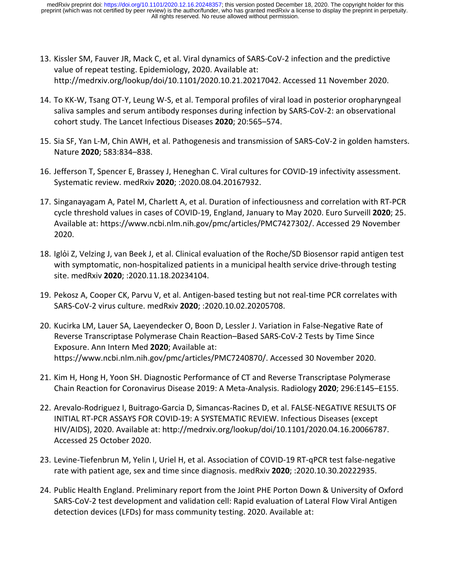- 13. Kissler SM, Fauver JR, Mack C, et al. Viral dynamics of SARS-CoV-2 infection and the predictive value of repeat testing. Epidemiology, 2020. Available at: http://medrxiv.org/lookup/doi/10.1101/2020.10.21.20217042. Accessed 11 November 2020.
- 14. To KK-W, Tsang OT-Y, Leung W-S, et al. Temporal profiles of viral load in posterior oropharyngeal saliva samples and serum antibody responses during infection by SARS-CoV-2: an observational cohort study. The Lancet Infectious Diseases **2020**; 20:565–574.
- 15. Sia SF, Yan L-M, Chin AWH, et al. Pathogenesis and transmission of SARS-CoV-2 in golden hamsters. Nature **2020**; 583:834–838.
- 16. Jefferson T, Spencer E, Brassey J, Heneghan C. Viral cultures for COVID-19 infectivity assessment. Systematic review. medRxiv **2020**; :2020.08.04.20167932.
- 17. Singanayagam A, Patel M, Charlett A, et al. Duration of infectiousness and correlation with RT-PCR cycle threshold values in cases of COVID-19, England, January to May 2020. Euro Surveill **2020**; 25. Available at: https://www.ncbi.nlm.nih.gov/pmc/articles/PMC7427302/. Accessed 29 November 2020.
- 18. Iglòi Z, Velzing J, van Beek J, et al. Clinical evaluation of the Roche/SD Biosensor rapid antigen test with symptomatic, non-hospitalized patients in a municipal health service drive-through testing site. medRxiv **2020**; :2020.11.18.20234104.
- 19. Pekosz A, Cooper CK, Parvu V, et al. Antigen-based testing but not real-time PCR correlates with SARS-CoV-2 virus culture. medRxiv **2020**; :2020.10.02.20205708.
- 20. Kucirka LM, Lauer SA, Laeyendecker O, Boon D, Lessler J. Variation in False-Negative Rate of Reverse Transcriptase Polymerase Chain Reaction–Based SARS-CoV-2 Tests by Time Since Exposure. Ann Intern Med **2020**; Available at: https://www.ncbi.nlm.nih.gov/pmc/articles/PMC7240870/. Accessed 30 November 2020.
- 21. Kim H, Hong H, Yoon SH. Diagnostic Performance of CT and Reverse Transcriptase Polymerase Chain Reaction for Coronavirus Disease 2019: A Meta-Analysis. Radiology **2020**; 296:E145–E155.
- 22. Arevalo-Rodriguez I, Buitrago-Garcia D, Simancas-Racines D, et al. FALSE-NEGATIVE RESULTS OF INITIAL RT-PCR ASSAYS FOR COVID-19: A SYSTEMATIC REVIEW. Infectious Diseases (except HIV/AIDS), 2020. Available at: http://medrxiv.org/lookup/doi/10.1101/2020.04.16.20066787. Accessed 25 October 2020.
- 23. Levine-Tiefenbrun M, Yelin I, Uriel H, et al. Association of COVID-19 RT-qPCR test false-negative rate with patient age, sex and time since diagnosis. medRxiv **2020**; :2020.10.30.20222935.
- 24. Public Health England. Preliminary report from the Joint PHE Porton Down & University of Oxford SARS-CoV-2 test development and validation cell: Rapid evaluation of Lateral Flow Viral Antigen detection devices (LFDs) for mass community testing. 2020. Available at: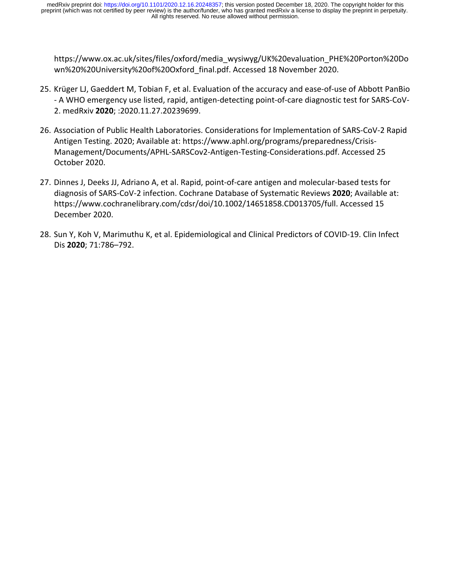https://www.ox.ac.uk/sites/files/oxford/media\_wysiwyg/UK%20evaluation\_PHE%20Porton%20Do wn%20%20University%20of%20Oxford\_final.pdf. Accessed 18 November 2020.

- 25. Krüger LJ, Gaeddert M, Tobian F, et al. Evaluation of the accuracy and ease-of-use of Abbott PanBio - A WHO emergency use listed, rapid, antigen-detecting point-of-care diagnostic test for SARS-CoV-2. medRxiv **2020**; :2020.11.27.20239699.
- 26. Association of Public Health Laboratories. Considerations for Implementation of SARS-CoV-2 Rapid Antigen Testing. 2020; Available at: https://www.aphl.org/programs/preparedness/Crisis-Management/Documents/APHL-SARSCov2-Antigen-Testing-Considerations.pdf. Accessed 25 October 2020.
- 27. Dinnes J, Deeks JJ, Adriano A, et al. Rapid, point-of-care antigen and molecular-based tests for diagnosis of SARS-CoV-2 infection. Cochrane Database of Systematic Reviews **2020**; Available at: https://www.cochranelibrary.com/cdsr/doi/10.1002/14651858.CD013705/full. Accessed 15 December 2020.
- 28. Sun Y, Koh V, Marimuthu K, et al. Epidemiological and Clinical Predictors of COVID-19. Clin Infect Dis **2020**; 71:786–792.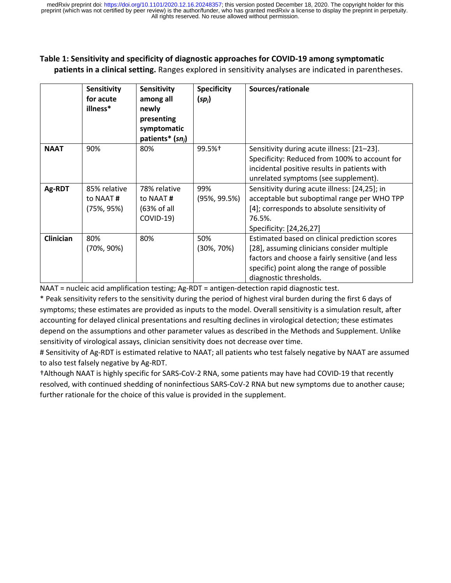#### **Table 1: Sensitivity and specificity of diagnostic approaches for COVID-19 among symptomatic patients in a clinical setting.** Ranges explored in sensitivity analyses are indicated in parentheses.

|                  | Sensitivity<br>for acute<br>illness*       | <b>Sensitivity</b><br>among all<br>newly<br>presenting<br>symptomatic<br>patients* $(sn_i)$ | <b>Specificity</b><br>$(sp_i)$ | Sources/rationale                                                                                                                                                                                                        |
|------------------|--------------------------------------------|---------------------------------------------------------------------------------------------|--------------------------------|--------------------------------------------------------------------------------------------------------------------------------------------------------------------------------------------------------------------------|
| <b>NAAT</b>      | 90%                                        | 80%                                                                                         | 99.5%†                         | Sensitivity during acute illness: [21-23].<br>Specificity: Reduced from 100% to account for<br>incidental positive results in patients with<br>unrelated symptoms (see supplement).                                      |
| Ag-RDT           | 85% relative<br>to NAAT#<br>$(75\%, 95\%)$ | 78% relative<br>to NAAT#<br>(63% of all<br>COVID-19)                                        | 99%<br>$(95\%, 99.5\%)$        | Sensitivity during acute illness: [24,25]; in<br>acceptable but suboptimal range per WHO TPP<br>[4]; corresponds to absolute sensitivity of<br>76.5%.<br>Specificity: [24,26,27]                                         |
| <b>Clinician</b> | 80%<br>$(70\%, 90\%)$                      | 80%                                                                                         | 50%<br>$(30\%, 70\%)$          | Estimated based on clinical prediction scores<br>[28], assuming clinicians consider multiple<br>factors and choose a fairly sensitive (and less<br>specific) point along the range of possible<br>diagnostic thresholds. |

NAAT = nucleic acid amplification testing; Ag-RDT = antigen-detection rapid diagnostic test.

\* Peak sensitivity refers to the sensitivity during the period of highest viral burden during the first 6 days of symptoms; these estimates are provided as inputs to the model. Overall sensitivity is a simulation result, after accounting for delayed clinical presentations and resulting declines in virological detection; these estimates depend on the assumptions and other parameter values as described in the Methods and Supplement. Unlike sensitivity of virological assays, clinician sensitivity does not decrease over time.

# Sensitivity of Ag-RDT is estimated relative to NAAT; all patients who test falsely negative by NAAT are assumed to also test falsely negative by Ag-RDT.

†Although NAAT is highly specific for SARS-CoV-2 RNA, some patients may have had COVID-19 that recently resolved, with continued shedding of noninfectious SARS-CoV-2 RNA but new symptoms due to another cause; further rationale for the choice of this value is provided in the supplement.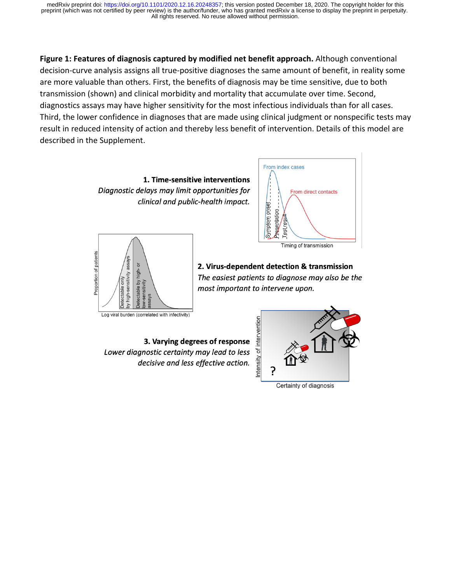**Figure 1: Features of diagnosis captured by modified net benefit approach.** Although conventional decision-curve analysis assigns all true-positive diagnoses the same amount of benefit, in reality some are more valuable than others. First, the benefits of diagnosis may be time sensitive, due to both transmission (shown) and clinical morbidity and mortality that accumulate over time. Second, diagnostics assays may have higher sensitivity for the most infectious individuals than for all cases. Third, the lower confidence in diagnoses that are made using clinical judgment or nonspecific tests may result in reduced intensity of action and thereby less benefit of intervention. Details of this model are described in the Supplement.







Timing of transmission

2. Virus-dependent detection & transmission The easiest patients to diagnose may also be the most important to intervene upon.

3. Varying degrees of response Lower diagnostic certainty may lead to less decisive and less effective action.

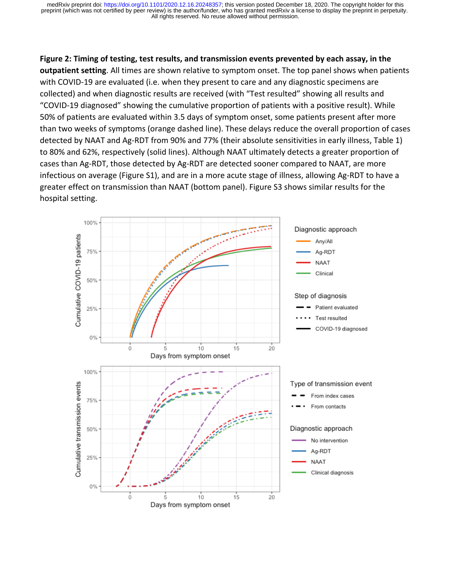**Figure 2: Timing of testing, test results, and transmission events prevented by each assay, in the outpatient setting**. All times are shown relative to symptom onset. The top panel shows when patients with COVID-19 are evaluated (i.e. when they present to care and any diagnostic specimens are collected) and when diagnostic results are received (with "Test resulted" showing all results and "COVID-19 diagnosed" showing the cumulative proportion of patients with a positive result). While 50% of patients are evaluated within 3.5 days of symptom onset, some patients present after more than two weeks of symptoms (orange dashed line). These delays reduce the overall proportion of cases detected by NAAT and Ag-RDT from 90% and 77% (their absolute sensitivities in early illness, Table 1) to 80% and 62%, respectively (solid lines). Although NAAT ultimately detects a greater proportion of cases than Ag-RDT, those detected by Ag-RDT are detected sooner compared to NAAT, are more infectious on average (Figure S1), and are in a more acute stage of illness, allowing Ag-RDT to have a greater effect on transmission than NAAT (bottom panel). Figure S3 shows similar results for the hospital setting.

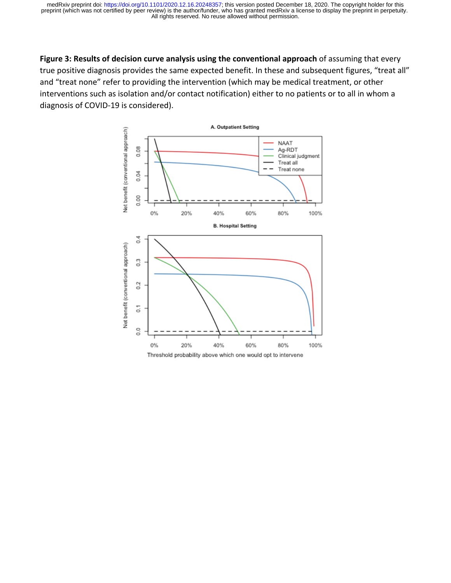**Figure 3: Results of decision curve analysis using the conventional approach** of assuming that every true positive diagnosis provides the same expected benefit. In these and subsequent figures, "treat all" and "treat none" refer to providing the intervention (which may be medical treatment, or other interventions such as isolation and/or contact notification) either to no patients or to all in whom a diagnosis of COVID-19 is considered).

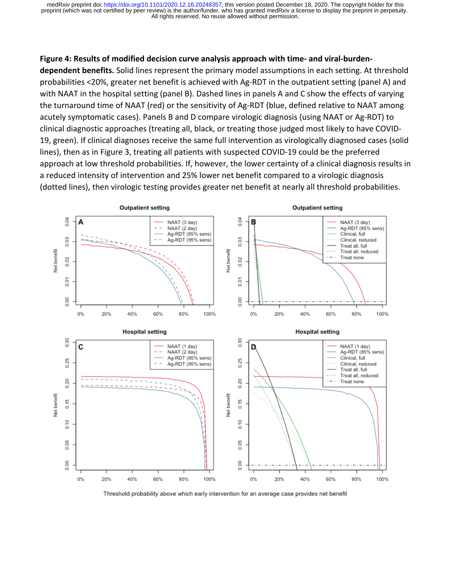#### **Figure 4: Results of modified decision curve analysis approach with time- and viral-burden-**

**dependent benefits.** Solid lines represent the primary model assumptions in each setting. At threshold probabilities <20%, greater net benefit is achieved with Ag-RDT in the outpatient setting (panel A) and with NAAT in the hospital setting (panel B). Dashed lines in panels A and C show the effects of varying the turnaround time of NAAT (red) or the sensitivity of Ag-RDT (blue, defined relative to NAAT among acutely symptomatic cases). Panels B and D compare virologic diagnosis (using NAAT or Ag-RDT) to clinical diagnostic approaches (treating all, black, or treating those judged most likely to have COVID-19, green). If clinical diagnoses receive the same full intervention as virologically diagnosed cases (solid lines), then as in Figure 3, treating all patients with suspected COVID-19 could be the preferred approach at low threshold probabilities. If, however, the lower certainty of a clinical diagnosis results in a reduced intensity of intervention and 25% lower net benefit compared to a virologic diagnosis (dotted lines), then virologic testing provides greater net benefit at nearly all threshold probabilities.



Threshold probability above which early intervention for an average case provides net benefit